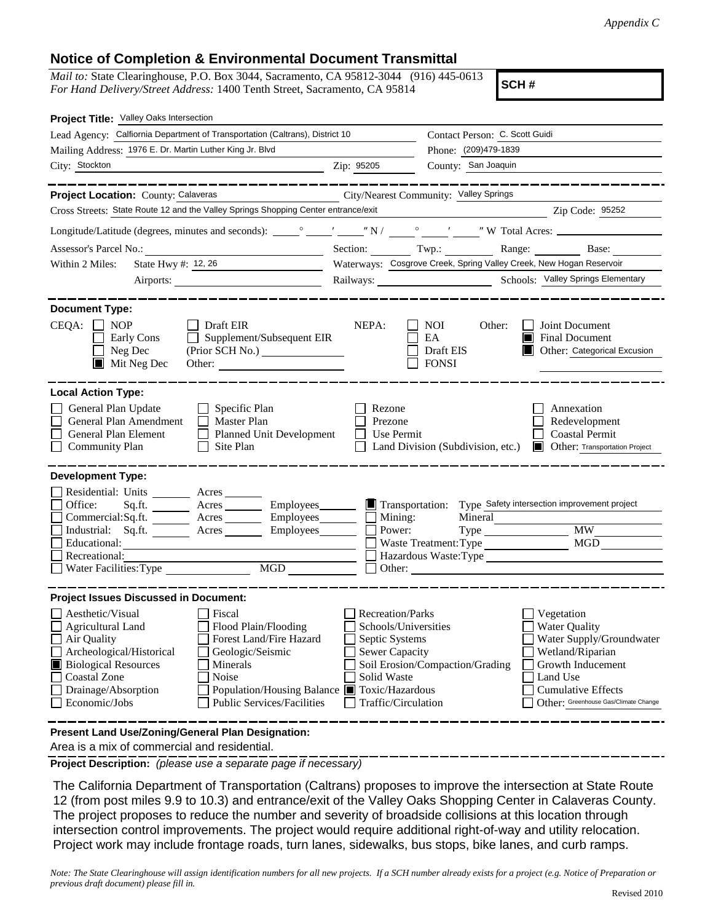## **Notice of Completion & Environmental Document Transmittal**

*Mail to:* State Clearinghouse, P.O. Box 3044, Sacramento, CA 95812-3044 (916) 445-0613 *For Hand Delivery/Street Address:* 1400 Tenth Street, Sacramento, CA 95814

**SCH #**

| Project Title: Valley Oaks Intersection                                                                                                                                                                                                                                                                                                                                        |                                                                                                                                  |                                                                                       |                                                                                                                                                                                   |  |  |  |
|--------------------------------------------------------------------------------------------------------------------------------------------------------------------------------------------------------------------------------------------------------------------------------------------------------------------------------------------------------------------------------|----------------------------------------------------------------------------------------------------------------------------------|---------------------------------------------------------------------------------------|-----------------------------------------------------------------------------------------------------------------------------------------------------------------------------------|--|--|--|
| Lead Agency: Calfiornia Department of Transportation (Caltrans), District 10                                                                                                                                                                                                                                                                                                   |                                                                                                                                  | Contact Person: C. Scott Guidi                                                        |                                                                                                                                                                                   |  |  |  |
| Mailing Address: 1976 E. Dr. Martin Luther King Jr. Blvd                                                                                                                                                                                                                                                                                                                       |                                                                                                                                  | Phone: (209)479-1839                                                                  |                                                                                                                                                                                   |  |  |  |
| City: Stockton<br>Zip: 95205                                                                                                                                                                                                                                                                                                                                                   |                                                                                                                                  | County: San Joaquin                                                                   |                                                                                                                                                                                   |  |  |  |
|                                                                                                                                                                                                                                                                                                                                                                                |                                                                                                                                  |                                                                                       |                                                                                                                                                                                   |  |  |  |
| Project Location: County: Calaveras<br>City/Nearest Community: Valley Springs                                                                                                                                                                                                                                                                                                  |                                                                                                                                  |                                                                                       |                                                                                                                                                                                   |  |  |  |
| Cross Streets: State Route 12 and the Valley Springs Shopping Center entrance/exit                                                                                                                                                                                                                                                                                             |                                                                                                                                  |                                                                                       | Zip Code: 95252                                                                                                                                                                   |  |  |  |
|                                                                                                                                                                                                                                                                                                                                                                                |                                                                                                                                  |                                                                                       |                                                                                                                                                                                   |  |  |  |
|                                                                                                                                                                                                                                                                                                                                                                                |                                                                                                                                  |                                                                                       | Section: Twp.: Range: Base:                                                                                                                                                       |  |  |  |
| State Hwy #: 12, 26<br>Within 2 Miles:                                                                                                                                                                                                                                                                                                                                         |                                                                                                                                  |                                                                                       | Waterways: Cosgrove Creek, Spring Valley Creek, New Hogan Reservoir                                                                                                               |  |  |  |
|                                                                                                                                                                                                                                                                                                                                                                                |                                                                                                                                  |                                                                                       |                                                                                                                                                                                   |  |  |  |
| <b>Document Type:</b><br>$CEQA: \Box NP$<br>$\Box$ Draft EIR                                                                                                                                                                                                                                                                                                                   | NEPA:                                                                                                                            | NOI.<br>Other:                                                                        | Joint Document                                                                                                                                                                    |  |  |  |
| Supplement/Subsequent EIR<br>Early Cons<br>$\Box$ Neg Dec<br>$\blacksquare$ Mit Neg Dec<br>Other:                                                                                                                                                                                                                                                                              |                                                                                                                                  | EA<br>Draft EIS<br><b>FONSI</b>                                                       | <b>Final Document</b><br>Other: Categorical Excusion                                                                                                                              |  |  |  |
| <b>Local Action Type:</b><br>General Plan Update<br>$\Box$ Specific Plan<br>General Plan Amendment<br>$\Box$ Master Plan<br>General Plan Element<br>Planned Unit Development<br><b>Community Plan</b><br>Site Plan<br>$\perp$                                                                                                                                                  | Rezone<br>Prezone<br>Use Permit<br>$\mathbf{I}$                                                                                  | Land Division (Subdivision, etc.)                                                     | Annexation<br>Redevelopment<br><b>Coastal Permit</b><br>Other: Transportation Project                                                                                             |  |  |  |
| <b>Development Type:</b>                                                                                                                                                                                                                                                                                                                                                       |                                                                                                                                  |                                                                                       |                                                                                                                                                                                   |  |  |  |
| Residential: Units ________ Acres _______<br>Office:<br>Sq.fit.<br>Acres <u>Community Employees</u><br>Commercial:Sq.ft. _______ Acres ________ Employees _______ __ Mining:<br>Industrial: Sq.ft.<br>Acres Employees<br>Educational:<br>Recreational:                                                                                                                         | Power:                                                                                                                           | Mineral<br>Type<br>Waste Treatment: Type<br>Other: <u>International Communication</u> | Transportation: Type Safety intersection improvement project<br><b>MW</b><br>MGD<br>Hazardous Waste: Type                                                                         |  |  |  |
| <b>Project Issues Discussed in Document:</b>                                                                                                                                                                                                                                                                                                                                   |                                                                                                                                  |                                                                                       |                                                                                                                                                                                   |  |  |  |
| Aesthetic/Visual<br>Fiscal<br>Flood Plain/Flooding<br><b>Agricultural Land</b><br>Air Quality<br>Forest Land/Fire Hazard<br>Archeological/Historical<br>Geologic/Seismic<br><b>Biological Resources</b><br>Minerals<br><b>Coastal Zone</b><br>Noise<br>Drainage/Absorption<br>Population/Housing Balance Toxic/Hazardous<br><b>Public Services/Facilities</b><br>Economic/Jobs | <b>Recreation/Parks</b><br>Schools/Universities<br>Septic Systems<br><b>Sewer Capacity</b><br>Solid Waste<br>Traffic/Circulation | Soil Erosion/Compaction/Grading                                                       | Vegetation<br>Water Quality<br>Water Supply/Groundwater<br>Wetland/Riparian<br>Growth Inducement<br>Land Use<br><b>Cumulative Effects</b><br>Other: Greenhouse Gas/Climate Change |  |  |  |
| Present Land Use/Zoning/General Plan Designation:                                                                                                                                                                                                                                                                                                                              |                                                                                                                                  |                                                                                       |                                                                                                                                                                                   |  |  |  |

Area is a mix of commercial and residential.

**Project Description:** *(please use a separate page if necessary)*

 The California Department of Transportation (Caltrans) proposes to improve the intersection at State Route 12 (from post miles 9.9 to 10.3) and entrance/exit of the Valley Oaks Shopping Center in Calaveras County. The project proposes to reduce the number and severity of broadside collisions at this location through intersection control improvements. The project would require additional right-of-way and utility relocation. Project work may include frontage roads, turn lanes, sidewalks, bus stops, bike lanes, and curb ramps.

*Note: The State Clearinghouse will assign identification numbers for all new projects. If a SCH number already exists for a project (e.g. Notice of Preparation or previous draft document) please fill in.*